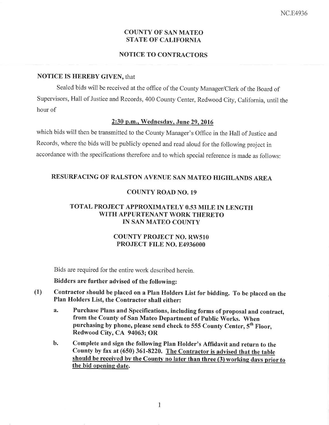#### COUNTY OF SAN MATEO **STATE OF CALIFORNIA**

#### NOTICE TO CONTRACTORS

#### NOTICE IS HEREBY GIVEN, that

Sealed bids will be received at the office of the County Manager/Clerk of the Board of Supervisors, Hall of Justice and Records, 400 County Center, Redwood City, California, until the hour of

#### 2:30 p.m.. Wednesday. June 29.2016

which bids will then be transmitted to the County Manager's Office in the Hall of Justice and Records, where the bids will be publicly opened and read aloud for the following project in accordance with the specifications therefore and to which special reference is made as follows:

## RESURFACING OF RALSTON AVENUE SAN MATEO HIGHLANDS AREA

## COUNTY ROAD NO. 19

### TOTAL PROJECT APPROXIMATELY 0.53 MILE IN LENGTH WITH APPURTENANT WORK THERETO IN SAN MATEO COUNTY

#### COUNTY PROJECT NO. RW51O PROJECT FILE NO. E4936000

Bids are required for the entire work described herein.

#### Bidders are further advised of the following:

- (1) Contractor should be placed on a PIan Holders List for bidding. To be placed on the Plan Holders List, the Contractor shall either:
	- a. Purchase Plans and Specifïcations, including forms of proposal and contract, from the County of San Mateo Department of Public Works. When purchasing by phone, please send check to 555 County Center,  $5<sup>th</sup>$  Floor, Redwood City, CA 94063; OR
	- b. Complete and sign the following Plan Holder's Affidavit and return to the County by fax at (650) 361-8220. The Contractor is advised that the table<br>should be received by the County no later than three (3) working days prior to the bid opening date.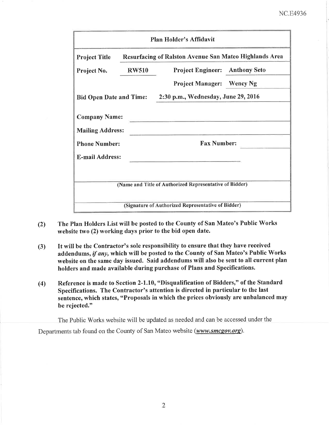## NC.E4936

| Plan Holder's Affidavit                                                           |              |                                                               |  |  |  |  |
|-----------------------------------------------------------------------------------|--------------|---------------------------------------------------------------|--|--|--|--|
| <b>Project Title</b>                                                              |              | <b>Resurfacing of Ralston Avenue San Mateo Highlands Area</b> |  |  |  |  |
| Project No.                                                                       | <b>RW510</b> | <b>Project Engineer:</b> Anthony Seto                         |  |  |  |  |
|                                                                                   |              | <b>Project Manager:</b> Wency Ng                              |  |  |  |  |
| <b>Bid Open Date and Time:</b>                                                    |              | 2:30 p.m., Wednesday, June 29, 2016                           |  |  |  |  |
| <b>Company Name:</b><br><b>Mailing Address:</b><br><b>Phone Number:</b>           |              | <b>Fax Number:</b>                                            |  |  |  |  |
| <b>E-mail Address:</b><br>(Name and Title of Authorized Representative of Bidder) |              |                                                               |  |  |  |  |
|                                                                                   |              | (Signature of Authorized Representative of Bidder)            |  |  |  |  |

- (2) The Plan Holders List will be posted to the County of San Mateo's Public Works website two (2) working days prior to the bid open date.
- (3) It will be the Contractor's sole responsibility to ensure that they have received addendums, if any, which will be posted to the County of San Mateo's Public Works website on the same day issued. Said addendums will also be sent to all current plan holders and made available during purchase of Plans and Specifications.
- (4) Reference is made to Section 2-1.10, "Disqualification of Bidders," of the Standard Specifications. The Contractor's attention is directed in particular to the last sentence, which states, "Proposals in which the prices obviously are unbalanced may be rejected."

The Public Works website will be updated as needed and can be accessed under the

Departments tab found on the County of San Mateo website (www.smcgov.org).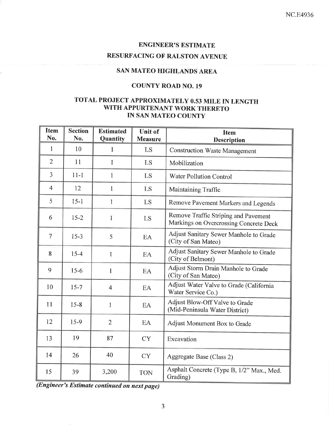## ENGINEER'S ESTIMATE

# RESURFACING OF RALSTON AVENUE

## SAN MATEO HIGHLANDS AREA

## COUNTY ROAD NO. 19

## TOTAL PROJECT APPROXIMATELY 0.53 MILE IN LENGTH WITH APPURTENANT WORK THERETO IN SAN MATEO COUNTY

| <b>Item</b><br>No. | <b>Section</b><br>No. | <b>Estimated</b><br>Quantity | <b>Unit of</b><br><b>Measure</b> | <b>Item</b><br><b>Description</b>                                              |  |
|--------------------|-----------------------|------------------------------|----------------------------------|--------------------------------------------------------------------------------|--|
| 1                  | 10                    | $\mathbf{1}$                 | LS                               | <b>Construction Waste Management</b>                                           |  |
| $\overline{2}$     | 11                    | 1                            | LS                               | Mobilization                                                                   |  |
| 3                  | $11 - 1$              | Ť                            | LS                               | Water Pollution Control                                                        |  |
| $\overline{4}$     | 12                    | $\mathbf{1}$                 | LS                               | Maintaining Traffic                                                            |  |
| 5                  | $15 - 1$              | $\mathbf{1}$                 | LS                               | Remove Pavement Markers and Legends                                            |  |
| 6                  | $15 - 2$              | 1                            | LS                               | Remove Traffic Striping and Pavement<br>Markings on Overcrossing Concrete Deck |  |
| $\overline{7}$     | $15 - 3$              | 5                            | EA                               | Adjust Sanitary Sewer Manhole to Grade<br>(City of San Mateo)                  |  |
| 8                  | $15 - 4$              | 1                            | EA                               | Adjust Sanitary Sewer Manhole to Grade<br>(City of Belmont)                    |  |
| 9                  | $15-6$                | $\mathbf{1}$                 | EA                               | Adjust Storm Drain Manhole to Grade<br>(City of San Mateo)                     |  |
| 10                 | $15 - 7$              | $\overline{4}$               | EA                               | Adjust Water Valve to Grade (California<br>Water Service Co.)                  |  |
| 11                 | $15 - 8$              | 1                            | EA                               | Adjust Blow-Off Valve to Grade<br>(Mid-Peninsula Water District)               |  |
| 12                 | $15-9$                | $\overline{2}$               | EA                               | Adjust Monument Box to Grade                                                   |  |
| 13                 | 19                    | 87                           | <b>CY</b>                        | Excavation                                                                     |  |
| 14                 | 26                    | 40                           | <b>CY</b>                        | Aggregate Base (Class 2)                                                       |  |
| 15                 | 39                    | 3,200                        | <b>TON</b>                       | Asphalt Concrete (Type B, 1/2" Max., Med.<br>Grading)                          |  |

(Engineer's Estimøte contínued on next page)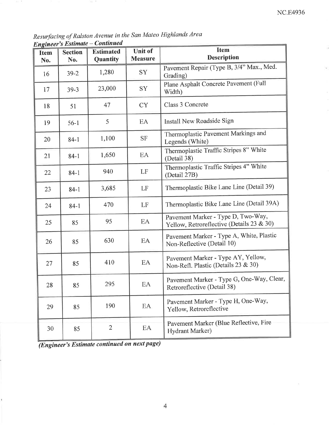Resurfacing of Ralston Avenue in the san Mateo Highlands Area <u>Engineer's Estimate – Continued</u>

| $\mathbf{u}$<br><b>Item</b><br>No. | <b>Section</b><br>No. | <b>Estimated</b><br>Quantity | <b>Item</b><br><b>Unit of</b><br><b>Description</b><br><b>Measure</b> |                                                                                 |
|------------------------------------|-----------------------|------------------------------|-----------------------------------------------------------------------|---------------------------------------------------------------------------------|
| 16                                 | $39 - 2$              | 1,280                        | SY                                                                    | Pavement Repair (Type B, 3/4" Max., Med.<br>Grading)                            |
| 17                                 | $39 - 3$              | 23,000                       | <b>SY</b>                                                             | Plane Asphalt Concrete Pavement (Full<br>Width)                                 |
| 18                                 | 51                    | 47                           | <b>CY</b>                                                             | Class 3 Concrete                                                                |
| 19                                 | $56-1$                | 5                            | EA                                                                    | Install New Roadside Sign                                                       |
| 20                                 | $84-1$                | 1,100                        | <b>SF</b>                                                             | Thermoplastic Pavement Markings and<br>Legends (White)                          |
| 21                                 | $84-1$                | 1,650                        | EA                                                                    | Thermoplastic Traffic Stripes 8" White<br>(Detail 38)                           |
| 22                                 | $84-1$                | 940                          | LF                                                                    | Thermoplastic Traffic Stripes 4" White<br>(Detail 27B)                          |
| 23                                 | $84 - 1$              | 3,685                        | Thermoplastic Bike Lane Line (Detail 39)<br>LF                        |                                                                                 |
| 24                                 | $84-1$                | 470                          | LF                                                                    | Thermoplastic Bike Lane Line (Detail 39A)                                       |
| 25                                 | 85                    | 95                           | EA                                                                    | Pavement Marker - Type D, Two-Way,<br>Yellow, Retroreflective (Details 23 & 30) |
| 26                                 | 85                    | 630                          | EA                                                                    | Pavement Marker - Type A, White, Plastic<br>Non-Reflective (Detail 10)          |
| 27                                 | 85                    | 410                          | EA                                                                    | Pavement Marker - Type AY, Yellow,<br>Non-Refl. Plastic (Details 23 & 30)       |
| 28                                 | 85                    | 295                          | EA                                                                    | Pavement Marker - Type G, One-Way, Clear,<br>Retroreflective (Detail 38)        |
| 29                                 | 85                    | 190                          | EA                                                                    | Pavement Marker - Type H, One-Way,<br>Yellow, Retroreflective                   |
| 30                                 | 85                    | $\overline{2}$               | EA                                                                    | Pavement Marker (Blue Reflective, Fire<br>Hydrant Marker)                       |

 $\sqrt{\frac{1}{(Engineering's Estimate\ continued\ on\ next\ page)}}$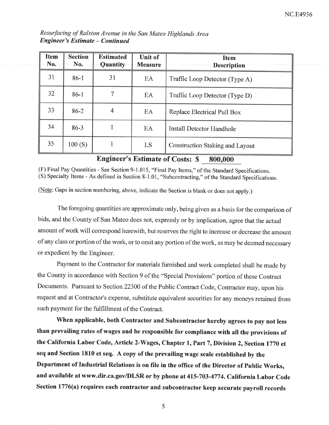| Resurfacing of Ralston Avenue in the San Mateo Highlands Area |  |  |  |
|---------------------------------------------------------------|--|--|--|
| <b>Engineer's Estimate – Continued</b>                        |  |  |  |

| <b>Item</b><br>No. | <b>Section</b><br>No. | <b>Estimated</b><br>Quantity | Unit of<br><b>Measure</b> | <b>Item</b><br><b>Description</b>      |
|--------------------|-----------------------|------------------------------|---------------------------|----------------------------------------|
| 31                 | $86-1$                | 31                           | EA                        | Traffic Loop Detector (Type A)         |
| 32 <sup>2</sup>    | $86-1$                |                              | EA                        | Traffic Loop Detector (Type D)         |
| 33                 | $86 - 2$              |                              | EA                        | Replace Electrical Pull Box            |
| 34                 | $86 - 3$              |                              | EA                        | <b>Install Detector Handhole</b>       |
| 35                 | 100(S)                |                              | LS                        | <b>Construction Staking and Layout</b> |

## Engineer's Estimate of Costs: \$ 800,000

(F) Final Pay Quantities - See Section 9-1.015, "Final Pay Items," of the Standard Specifications. (S) Specialty Items - As defined in Section 8-1.01, "subcontracting," of the Standard Specifications.

(Note: Gaps in section numbering, above, indicate the Section is blank or does not apply.)

The foregoing quantities are approximate only, being given as a basis for the comparison of bids, and the County of San Mateo does not, expressly or by implication, agree that the actual amount of work will correspond herewith, but reserves the right to increase or decrease the amount of any class or portion of the work, or to omit any portion of the work, as may be deemed necessary or expedient by the Engineer.

Payment to the Contractor for materials furnished and work completed shall be made by the County in accordance with Section 9 of the "special Provisions" portion of these Contract Documents. Pursuant to Section 22300 of the Public Contract Code, Contractor may, upon his request and at Contractor's expense, substitute equivalent securities for any moneys retained from such payment for the fulfillment of the Contract.

'When applicable, both Contractor and Subcontractor hereby agrees to pay not less than prevailing rates of wages and be responsible for compliance with all the provisions of the California Labor Code, Article 2-Wages, Chapter 1, Part 7, Division 2, Section 1770 et seq and Section 1810 et seq. A copy of the prevailing wage scale estabtished by the Department of Industrial Relations is on file in the office of the Director of Public Works, and available at www.dir.ca.gov/DLSR or by phone at 415-703-4774. California Labor Code Section 1776(a) requires each contractor and subcontractor keep accurate payroll records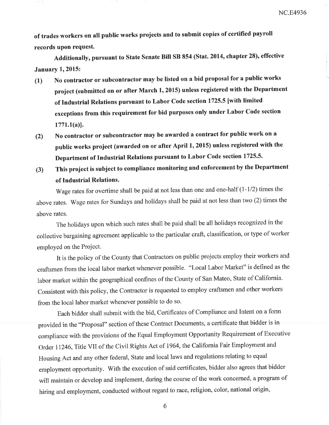of trades workers on all pubtic works projects and to submit copies of certified payroll records upon request.

Additionally, pursuant to State Senate Bill SB 854 (Stat. 2014, chapter 28), effective **January 1, 2015:** 

- (l) No contractor or subcontractor may be listed on a bid proposal for a public works project (submitted on or after March 1,2015) unless registered with the Department of Industrial Relations pursuant to Labor Code section 1725.5 [with limited exceptions from this requirement for bid purposes only under Labor Code section  $1771.1(a)$ ].
- (Z) No contractor or subcontractor may be awarded a contract for public work on <sup>a</sup> public works project (awarded on or after April 1, 2015) unless registered with the I)epartment of Industrial Relations pursuant to Labor Code section 1725.5.
- (3) This project is subject to compliance monitoring and enforcement by the Department of Industrial Relations.

Wage rates for overtime shall be paid at not less than one and one-half  $(1-1/2)$  times the above rates. Wage rates for Sundays and holidays shall be paid at not less than two (2) times the above rates.

The holidays upon which such rates shall be paid shall be all holidays recognized in the collective bargaining agreement applicable to the particular craft, classification, or type of worker employed on the Project.

It is the policy of the County that Contractors on public projects employ their workers and craftsmen from the local labor market whenever possible. "Local Labor Market" is defined as the labor market within the geographical confines of the County of San Mateo, State of California. Consistent with this policy, the Contractor is requested to employ craftsmen and other workers from the local labor market whenever possible to do so.

Each bidder shall submit with the bid, Certificates of Compliance and Intent on a form provided in the "proposal" section of these Contract Documents, a certificate that bidder is in compliance with the provisions of the Equal Employment Opportunity Requirement of Executive Order 11246, Title VII of the Civil Rights Act of 1964, the California Fair Employment and Housing Act and any other federal, State and local laws and regulations relating to equal employment opportunity. with the execution of said certificates, bidder also agrees that bidder will maintain or develop and implement, during the course of the work concerned, a program of hiring and employment, conducted without regard to race, religion, color, national origin,

6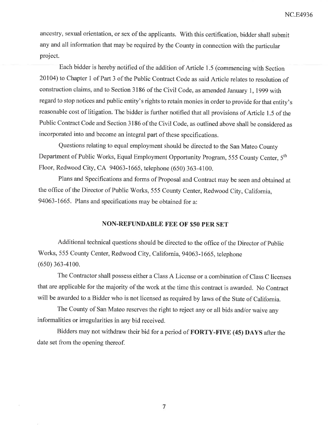NC.E4936

ancestry, sexual orientation, or sex of the applicants. With this certification, bidder shall submit any and all information that may be required by the County in connection with the particular project.

Each bidder is hereby notified of the addition of Article 1.5 (commencing with Section 20104) to Chapter 1 of Part 3 of the Public Contract Code as said Article relates to resolution of construction claims, and to Section 3 186 of the Civil Code, as amended January 1, 1999 with regard to stop notices and public entity's rights to retain monies in order to provide for that entity's reasonable cost of litigation. The bidder is further notified that all provisions of Article 1.5 of the Public Contract Code and Section 3186 of the Civil Code, as outlined above shall be considered as incorporated into and become an integral part of these specifications.

Questions relating to equal employment should be directed to the San Mateo County Department of Public Works, Equal Employment Opportunity Program, 555 County Center, 5th Floor, Redwood City, CA 94063-1665, telephone (650) 363-4100.

Plans and Specifications and forms of Proposal and Contract may be seen and obtained at the office of the Director of Public Works, 555 County Center, Redwood City, California, 94063-1665. Plans and specifications may be obtained for a:

#### NON-REFUNDABLE FEE OF \$50 PER SET

Additional technical questions should be directed to the offrce of the Director of public Works, 555 County Center, Redwood City, California, 94063-1665, telephone (6s0) 363-4100.

The Contractor shall possess either a Class A License or a combination of Class C licenses thaf are applicable for the majority of the work at the time this contract is awarded. No Contract will be awarded to a Bidder who is not licensed as required by laws of the State of California.

The County of San Mateo reserves the right to reject any or all bids and/or waive any informalities or irregularities in any bid received.

Bidders may not withdraw their bid for a period of FORTY-FIVE (45) DAYS after the date set from the opening thereof.

7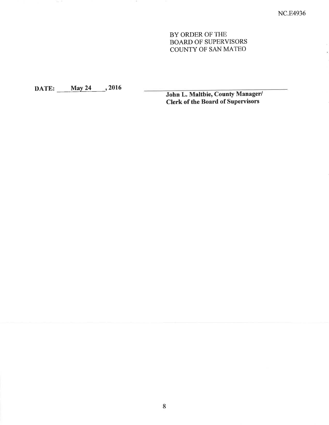### BY ORDER OF THE BOARD OF SUPERVISORS COUNTY OF SAN MATEO

DATE: May 24 , 2016 John L. Maltbie, County Manager/ **Clerk of the Board of Supervisors**